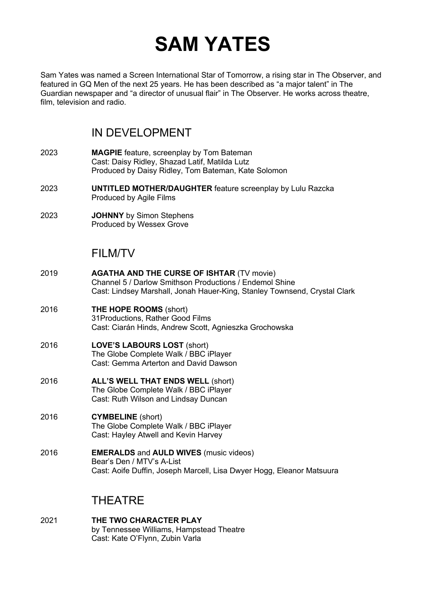# **SAM YATES**

Sam Yates was named a Screen International Star of Tomorrow, a rising star in The Observer, and featured in GQ Men of the next 25 years. He has been described as "a major talent" in The Guardian newspaper and "a director of unusual flair" in The Observer. He works across theatre, film, television and radio.

# IN DEVELOPMENT

- 2023 **MAGPIE** feature, screenplay by Tom Bateman Cast: Daisy Ridley, Shazad Latif, Matilda Lutz Produced by Daisy Ridley, Tom Bateman, Kate Solomon
- 2023 **UNTITLED MOTHER/DAUGHTER** feature screenplay by Lulu Razcka Produced by Agile Films
- 2023 **JOHNNY** by Simon Stephens Produced by Wessex Grove

## FILM/TV

- 2019 **AGATHA AND THE CURSE OF ISHTAR** (TV movie) Channel 5 / Darlow Smithson Productions / Endemol Shine Cast: Lindsey Marshall, Jonah Hauer-King, Stanley Townsend, Crystal Clark
- 2016 **THE HOPE ROOMS** (short) 31Productions, Rather Good Films Cast: Ciarán Hinds, Andrew Scott, Agnieszka Grochowska
- 2016 **LOVE'S LABOURS LOST** (short) The Globe Complete Walk / BBC iPlayer Cast: Gemma Arterton and David Dawson
- 2016 **ALL'S WELL THAT ENDS WELL** (short) The Globe Complete Walk / BBC iPlayer Cast: Ruth Wilson and Lindsay Duncan
- 2016 **CYMBELINE** (short) The Globe Complete Walk / BBC iPlayer Cast: Hayley Atwell and Kevin Harvey
- 2016 **EMERALDS** and **AULD WIVES** (music videos) Bear's Den / MTV's A-List Cast: Aoife Duffin, Joseph Marcell, Lisa Dwyer Hogg, Eleanor Matsuura

# THEATRE

2021 **THE TWO CHARACTER PLAY** by Tennessee Williams, Hampstead Theatre Cast: Kate O'Flynn, Zubin Varla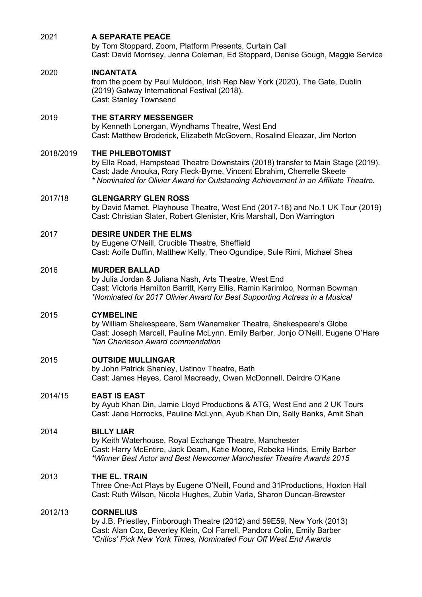| 2021      | <b>A SEPARATE PEACE</b><br>by Tom Stoppard, Zoom, Platform Presents, Curtain Call<br>Cast: David Morrisey, Jenna Coleman, Ed Stoppard, Denise Gough, Maggie Service                                                                                                  |
|-----------|----------------------------------------------------------------------------------------------------------------------------------------------------------------------------------------------------------------------------------------------------------------------|
| 2020      | <b>INCANTATA</b><br>from the poem by Paul Muldoon, Irish Rep New York (2020), The Gate, Dublin<br>(2019) Galway International Festival (2018).<br>Cast: Stanley Townsend                                                                                             |
| 2019      | THE STARRY MESSENGER<br>by Kenneth Lonergan, Wyndhams Theatre, West End<br>Cast: Matthew Broderick, Elizabeth McGovern, Rosalind Eleazar, Jim Norton                                                                                                                 |
| 2018/2019 | THE PHLEBOTOMIST<br>by Ella Road, Hampstead Theatre Downstairs (2018) transfer to Main Stage (2019).<br>Cast: Jade Anouka, Rory Fleck-Byrne, Vincent Ebrahim, Cherrelle Skeete<br>* Nominated for Olivier Award for Outstanding Achievement in an Affiliate Theatre. |
| 2017/18   | <b>GLENGARRY GLEN ROSS</b><br>by David Mamet, Playhouse Theatre, West End (2017-18) and No.1 UK Tour (2019)<br>Cast: Christian Slater, Robert Glenister, Kris Marshall, Don Warrington                                                                               |
| 2017      | <b>DESIRE UNDER THE ELMS</b><br>by Eugene O'Neill, Crucible Theatre, Sheffield<br>Cast: Aoife Duffin, Matthew Kelly, Theo Ogundipe, Sule Rimi, Michael Shea                                                                                                          |
| 2016      | <b>MURDER BALLAD</b><br>by Julia Jordan & Juliana Nash, Arts Theatre, West End<br>Cast: Victoria Hamilton Barritt, Kerry Ellis, Ramin Karimloo, Norman Bowman<br>*Nominated for 2017 Olivier Award for Best Supporting Actress in a Musical                          |
| 2015      | <b>CYMBELINE</b><br>by William Shakespeare, Sam Wanamaker Theatre, Shakespeare's Globe<br>Cast: Joseph Marcell, Pauline McLynn, Emily Barber, Jonjo O'Neill, Eugene O'Hare<br>*lan Charleson Award commendation                                                      |
| 2015      | <b>OUTSIDE MULLINGAR</b><br>by John Patrick Shanley, Ustinov Theatre, Bath<br>Cast: James Hayes, Carol Macready, Owen McDonnell, Deirdre O'Kane                                                                                                                      |
| 2014/15   | <b>EAST IS EAST</b><br>by Ayub Khan Din, Jamie Lloyd Productions & ATG, West End and 2 UK Tours<br>Cast: Jane Horrocks, Pauline McLynn, Ayub Khan Din, Sally Banks, Amit Shah                                                                                        |
| 2014      | <b>BILLY LIAR</b><br>by Keith Waterhouse, Royal Exchange Theatre, Manchester<br>Cast: Harry McEntire, Jack Deam, Katie Moore, Rebeka Hinds, Emily Barber<br>*Winner Best Actor and Best Newcomer Manchester Theatre Awards 2015                                      |
| 2013      | THE EL. TRAIN<br>Three One-Act Plays by Eugene O'Neill, Found and 31 Productions, Hoxton Hall<br>Cast: Ruth Wilson, Nicola Hughes, Zubin Varla, Sharon Duncan-Brewster                                                                                               |
| 2012/13   | <b>CORNELIUS</b><br>by J.B. Priestley, Finborough Theatre (2012) and 59E59, New York (2013)<br>Cast: Alan Cox, Beverley Klein, Col Farrell, Pandora Colin, Emily Barber<br>*Critics' Pick New York Times, Nominated Four Off West End Awards                         |
|           |                                                                                                                                                                                                                                                                      |